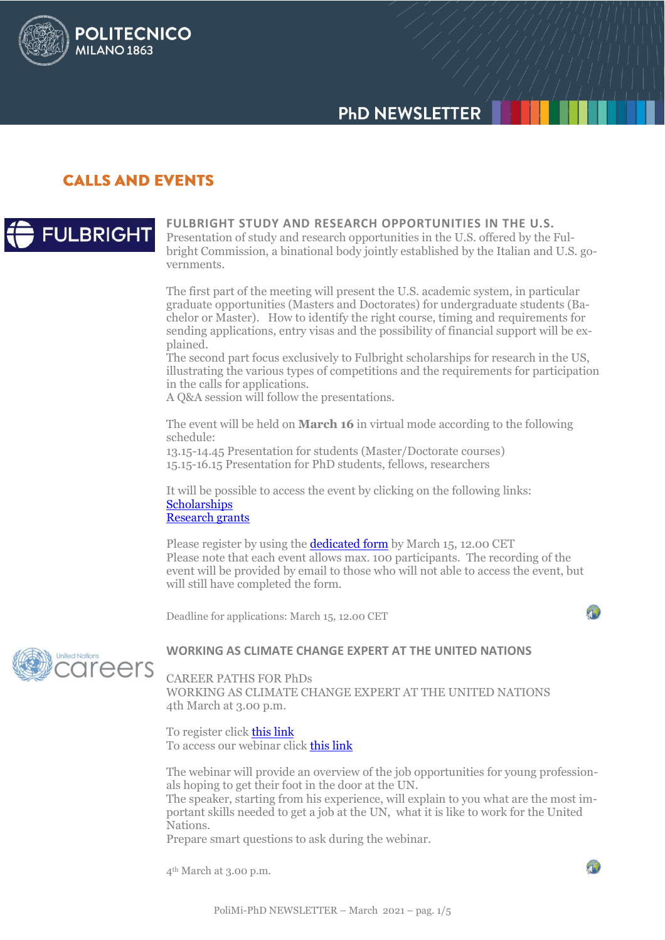# **PHD NEWSLETTER**

## **CALLS AND EVENTS**

**POLITECNICO** 

**MILANO 1863** 



#### **FULBRIGHT STUDY AND RESEARCH OPPORTUNITIES IN THE U.S.** Presentation of study and research opportunities in the U.S. offered by the Fulbright Commission, a binational body jointly established by the Italian and U.S. governments.

The first part of the meeting will present the U.S. academic system, in particular graduate opportunities (Masters and Doctorates) for undergraduate students (Bachelor or Master). How to identify the right course, timing and requirements for sending applications, entry visas and the possibility of financial support will be explained.

The second part focus exclusively to Fulbright scholarships for research in the US, illustrating the various types of competitions and the requirements for participation in the calls for applications.

A Q&A session will follow the presentations.

The event will be held on **March 16** in virtual mode according to the following schedule:

13.15-14.45 Presentation for students (Master/Doctorate courses) 15.15-16.15 Presentation for PhD students, fellows, researchers

It will be possible to access the event by clicking on the following links: **[Scholarships](https://us02web.zoom.us/j/83106652495)** [Research grants](https://us02web.zoom.us/j/88144002148)

Please register by using the **dedicated form** by March 15, 12.00 CET Please note that each event allows max. 100 participants. The recording of the event will be provided by email to those who will not able to access the event, but will still have completed the form.

Deadline for applications: March 15, 12.00 CET



## **WORKING AS CLIMATE CHANGE EXPERT AT THE UNITED NATIONS**

CAREER PATHS FOR PhDs

WORKING AS CLIMATE CHANGE EXPERT AT THE UNITED NATIONS 4th March at 3.00 p.m.

To register click [this link](https://docs.google.com/forms/d/1lBZe2BEHQiiZsVsLffkEZzlAYlX99Al5MViGkRS0hTQ/edit?urp=gmail_link&gxids=7628) To access our webinar click [this link](https://unito.webex.com/webappng/sites/unito/meeting/download/cad9b5b5d5364ae0abaa1ab815b76b30?siteurl=unito&MTID=m1b54f7f05873157d3169c67d691690fb)

The webinar will provide an overview of the job opportunities for young professionals hoping to get their foot in the door at the UN.

The speaker, starting from his experience, will explain to you what are the most important skills needed to get a job at the UN, what it is like to work for the United Nations.

Prepare smart questions to ask during the webinar.

4th March at 3.00 p.m.

 $\sqrt{2}$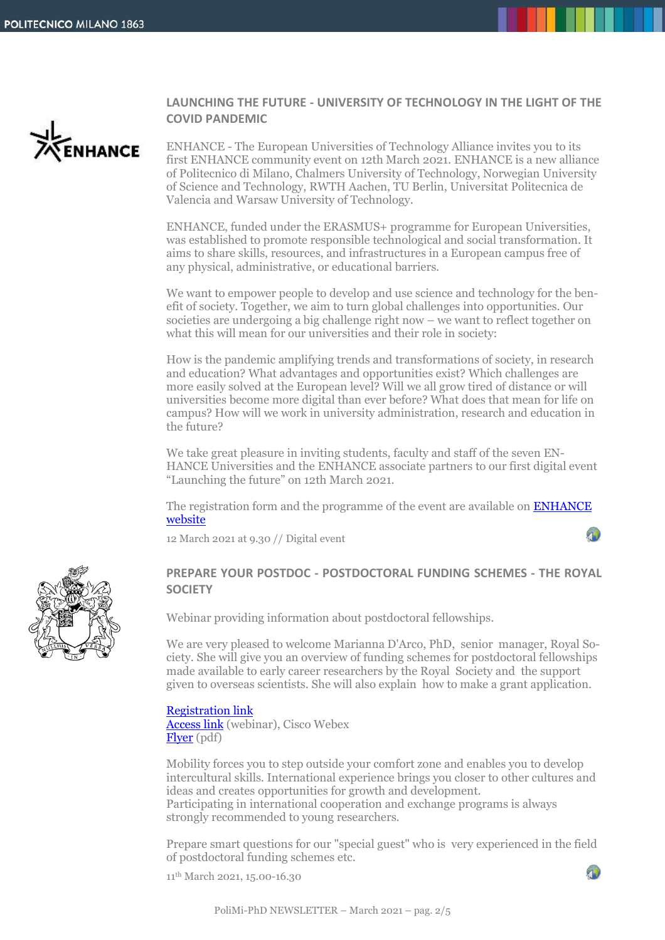ENHANCE

## **LAUNCHING THE FUTURE - UNIVERSITY OF TECHNOLOGY IN THE LIGHT OF THE COVID PANDEMIC**

ENHANCE - The European Universities of Technology Alliance invites you to its first ENHANCE community event on 12th March 2021. ENHANCE is a new alliance of Politecnico di Milano, Chalmers University of Technology, Norwegian University of Science and Technology, RWTH Aachen, TU Berlin, Universitat Politecnica de Valencia and Warsaw University of Technology.

ENHANCE, funded under the ERASMUS+ programme for European Universities, was established to promote responsible technological and social transformation. It aims to share skills, resources, and infrastructures in a European campus free of any physical, administrative, or educational barriers.

We want to empower people to develop and use science and technology for the benefit of society. Together, we aim to turn global challenges into opportunities. Our societies are undergoing a big challenge right now – we want to reflect together on what this will mean for our universities and their role in society:

How is the pandemic amplifying trends and transformations of society, in research and education? What advantages and opportunities exist? Which challenges are more easily solved at the European level? Will we all grow tired of distance or will universities become more digital than ever before? What does that mean for life on campus? How will we work in university administration, research and education in the future?

We take great pleasure in inviting students, faculty and staff of the seven EN-HANCE Universities and the ENHANCE associate partners to our first digital event "Launching the future" on 12th March 2021.

The registration form and the programme of the event are available on **ENHANCE** [website](https://enhancelaunchevent.eu/)

12 March 2021 at 9.30 // Digital event



## **PREPARE YOUR POSTDOC - POSTDOCTORAL FUNDING SCHEMES - THE ROYAL SOCIETY**

Webinar providing information about postdoctoral fellowships.

We are very pleased to welcome Marianna D'Arco, PhD, senior manager, Royal Society. She will give you an overview of funding schemes for postdoctoral fellowships made available to early career researchers by the Royal Society and the support given to overseas scientists. She will also explain how to make a grant application.

## [Registration link](https://docs.google.com/forms/d/1GXoqMF5hpbQzE_lYjF3M2eYrzJKb2BXU9ocs8GlCfi4/edit?gxids=7628)

[Access link](https://unito.webex.com/webappng/sites/unito/meeting/download/b145d186bb474087a68054ca6976f2f8?siteurl=unito&MTID=mb26548f4622a3e90e36b7ce00f332579) (webinar), Cisco Webex [Flyer](http://www.dottorato.polimi.it/fileadmin/files/dottorato/newsletter/allegati/2021_02/Flyer_11_march_2021.pdf) (pdf)

Mobility forces you to step outside your comfort zone and enables you to develop intercultural skills. International experience brings you closer to other cultures and ideas and creates opportunities for growth and development. Participating in international cooperation and exchange programs is always strongly recommended to young researchers.

Prepare smart questions for our "special guest" who is very experienced in the field of postdoctoral funding schemes etc.

90

11th March 2021, 15.00-16.30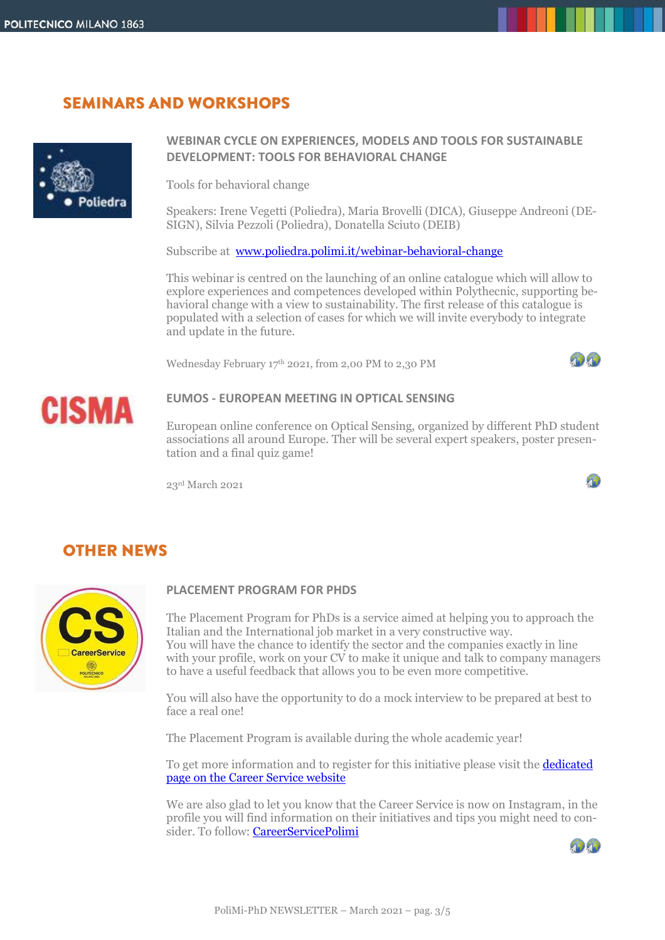# **SEMINARS AND WORKSHOPS**



## **WEBINAR CYCLE ON EXPERIENCES, MODELS AND TOOLS FOR SUSTAINABLE DEVELOPMENT: TOOLS FOR BEHAVIORAL CHANGE**

Tools for behavioral change

Speakers: Irene Vegetti (Poliedra), Maria Brovelli (DICA), Giuseppe Andreoni (DE-SIGN), Silvia Pezzoli (Poliedra), Donatella Sciuto (DEIB)

Subscribe at [www.poliedra.polimi.it/webinar-behavioral-change](http://www.poliedra.polimi.it/webinar-behavioral-change) 

This webinar is centred on the launching of an online catalogue which will allow to explore experiences and competences developed within Polythecnic, supporting behavioral change with a view to sustainability. The first release of this catalogue is populated with a selection of cases for which we will invite everybody to integrate and update in the future.

Wednesday February 17th 2021, from 2,00 PM to 2,30 PM



90



## **EUMOS - EUROPEAN MEETING IN OPTICAL SENSING**

European online conference on Optical Sensing, organized by different PhD student associations all around Europe. Ther will be several expert speakers, poster presentation and a final quiz game!

23rd March 2021

# **OTHER NEWS**



## **PLACEMENT PROGRAM FOR PHDS**

The Placement Program for PhDs is a service aimed at helping you to approach the Italian and the International job market in a very constructive way. You will have the chance to identify the sector and the companies exactly in line with your profile, work on your CV to make it unique and talk to company managers to have a useful feedback that allows you to be even more competitive.

You will also have the opportunity to do a mock interview to be prepared at best to face a real one!

The Placement Program is available during the whole academic year!

To get more information and to register for this initiative please visit th[e dedicated](https://cm.careerservice.polimi.it/en/career-program/phd_en/)  [page on the Career Service website](https://cm.careerservice.polimi.it/en/career-program/phd_en/)

We are also glad to let you know that the Career Service is now on Instagram, in the profile you will find information on their initiatives and tips you might need to con-sider. To follow: [CareerServicePolimi](https://www.instagram.com/careerservicepolimi/)

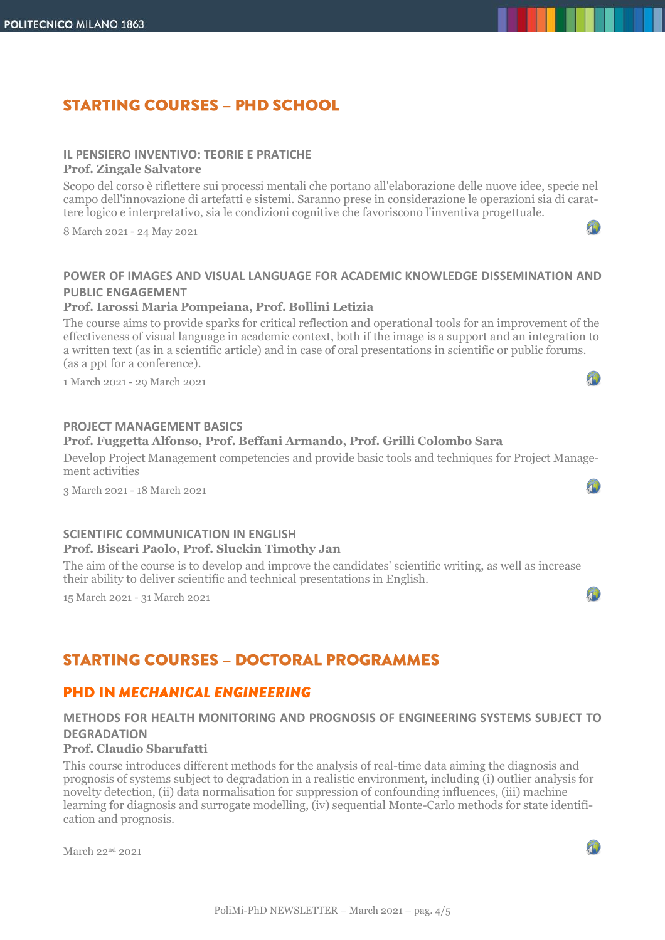# **STARTING COURSES - PHD SCHOOL**

## **IL PENSIERO INVENTIVO: TEORIE E PRATICHE**

## **Prof. Zingale Salvatore**

Scopo del corso è riflettere sui processi mentali che portano all'elaborazione delle nuove idee, specie nel campo dell'innovazione di artefatti e sistemi. Saranno prese in considerazione le operazioni sia di carattere logico e interpretativo, sia le condizioni cognitive che favoriscono l'inventiva progettuale.

8 March 2021 - 24 May 2021

## **POWER OF IMAGES AND VISUAL LANGUAGE FOR ACADEMIC KNOWLEDGE DISSEMINATION AND PUBLIC ENGAGEMENT**

## **Prof. Iarossi Maria Pompeiana, Prof. Bollini Letizia**

The course aims to provide sparks for critical reflection and operational tools for an improvement of the effectiveness of visual language in academic context, both if the image is a support and an integration to a written text (as in a scientific article) and in case of oral presentations in scientific or public forums. (as a ppt for a conference).

1 March 2021 - 29 March 2021

## **PROJECT MANAGEMENT BASICS**

## **Prof. Fuggetta Alfonso, Prof. Beffani Armando, Prof. Grilli Colombo Sara**

Develop Project Management competencies and provide basic tools and techniques for Project Management activities

3 March 2021 - 18 March 2021

## **SCIENTIFIC COMMUNICATION IN ENGLISH Prof. Biscari Paolo, Prof. Sluckin Timothy Jan**

The aim of the course is to develop and improve the candidates' scientific writing, as well as increase their ability to deliver scientific and technical presentations in English.

15 March 2021 - 31 March 2021

## **STARTING COURSES - DOCTORAL PROGRAMMES**

## **PHD IN MECHANICAL ENGINEERING**

## **METHODS FOR HEALTH MONITORING AND PROGNOSIS OF ENGINEERING SYSTEMS SUBJECT TO DEGRADATION**

## **Prof. Claudio Sbarufatti**

This course introduces different methods for the analysis of real-time data aiming the diagnosis and prognosis of systems subject to degradation in a realistic environment, including (i) outlier analysis for novelty detection, (ii) data normalisation for suppression of confounding influences, (iii) machine learning for diagnosis and surrogate modelling, (iv) sequential Monte-Carlo methods for state identification and prognosis.

March 22nd 2021

Ą)

40

90

40